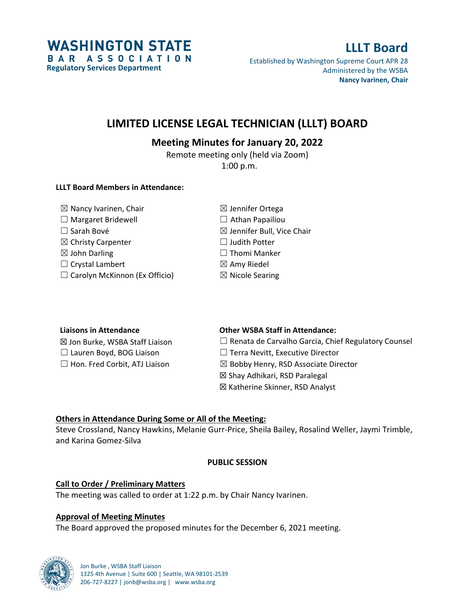

# **LLLT Board**

Established by Washington Supreme Court APR 28 Administered by the WSBA **Nancy Ivarinen, Chair**

## **LIMITED LICENSE LEGAL TECHNICIAN (LLLT) BOARD**

### **Meeting Minutes for January 20, 2022**

Remote meeting only (held via Zoom) 1:00 p.m.

#### **LLLT Board Members in Attendance:**

| $\boxtimes$ Nancy Ivarinen, Chair    | $\boxtimes$ Jennifer Ortega           |
|--------------------------------------|---------------------------------------|
| $\Box$ Margaret Bridewell            | $\Box$ Athan Papailiou                |
| $\Box$ Sarah Bové                    | $\boxtimes$ Jennifer Bull, Vice Chair |
| $\boxtimes$ Christy Carpenter        | $\Box$ Judith Potter                  |
| $\boxtimes$ John Darling             | $\Box$ Thomi Manker                   |
| $\Box$ Crystal Lambert               | $\boxtimes$ Amy Riedel                |
| $\Box$ Carolyn McKinnon (Ex Officio) | $\boxtimes$ Nicole Searing            |

| <b>Liaisons in Attendance</b>        | <b>Other WSBA Staff in Attendance:</b>                     |
|--------------------------------------|------------------------------------------------------------|
| ⊠ Jon Burke, WSBA Staff Liaison      | $\Box$ Renata de Carvalho Garcia, Chief Regulatory Counsel |
| $\Box$ Lauren Boyd, BOG Liaison      | $\Box$ Terra Nevitt, Executive Director                    |
| $\Box$ Hon. Fred Corbit, ATJ Liaison | $\boxtimes$ Bobby Henry, RSD Associate Director            |
|                                      | ⊠ Shay Adhikari, RSD Paralegal                             |
|                                      | ⊠ Katherine Skinner, RSD Analyst                           |

#### **Others in Attendance During Some or All of the Meeting:**

Steve Crossland, Nancy Hawkins, Melanie Gurr-Price, Sheila Bailey, Rosalind Weller, Jaymi Trimble, and Karina Gomez-Silva

#### **PUBLIC SESSION**

#### **Call to Order / Preliminary Matters**

The meeting was called to order at 1:22 p.m. by Chair Nancy Ivarinen.

#### **Approval of Meeting Minutes**

The Board approved the proposed minutes for the December 6, 2021 meeting.

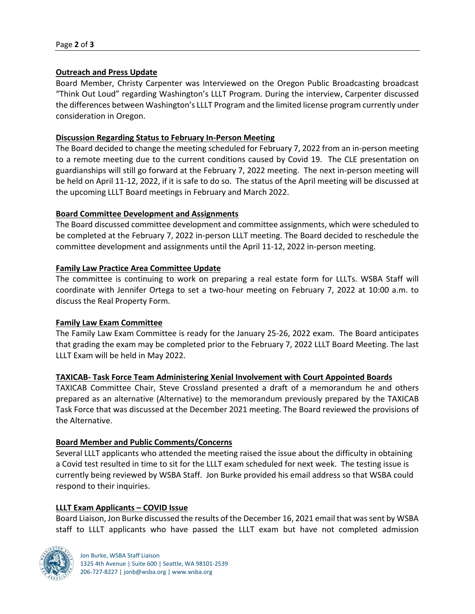#### **Outreach and Press Update**

Board Member, Christy Carpenter was Interviewed on the Oregon Public Broadcasting broadcast "Think Out Loud" regarding Washington's LLLT Program. During the interview, Carpenter discussed the differences between Washington's LLLT Program and the limited license program currently under consideration in Oregon.

#### **Discussion Regarding Status to February In-Person Meeting**

The Board decided to change the meeting scheduled for February 7, 2022 from an in-person meeting to a remote meeting due to the current conditions caused by Covid 19. The CLE presentation on guardianships will still go forward at the February 7, 2022 meeting. The next in-person meeting will be held on April 11-12, 2022, if it is safe to do so. The status of the April meeting will be discussed at the upcoming LLLT Board meetings in February and March 2022.

#### **Board Committee Development and Assignments**

The Board discussed committee development and committee assignments, which were scheduled to be completed at the February 7, 2022 in-person LLLT meeting. The Board decided to reschedule the committee development and assignments until the April 11-12, 2022 in-person meeting.

#### **Family Law Practice Area Committee Update**

The committee is continuing to work on preparing a real estate form for LLLTs. WSBA Staff will coordinate with Jennifer Ortega to set a two-hour meeting on February 7, 2022 at 10:00 a.m. to discuss the Real Property Form.

#### **Family Law Exam Committee**

The Family Law Exam Committee is ready for the January 25-26, 2022 exam. The Board anticipates that grading the exam may be completed prior to the February 7, 2022 LLLT Board Meeting. The last LLLT Exam will be held in May 2022.

#### **TAXICAB- Task Force Team Administering Xenial Involvement with Court Appointed Boards**

TAXICAB Committee Chair, Steve Crossland presented a draft of a memorandum he and others prepared as an alternative (Alternative) to the memorandum previously prepared by the TAXICAB Task Force that was discussed at the December 2021 meeting. The Board reviewed the provisions of the Alternative.

#### **Board Member and Public Comments/Concerns**

Several LLLT applicants who attended the meeting raised the issue about the difficulty in obtaining a Covid test resulted in time to sit for the LLLT exam scheduled for next week. The testing issue is currently being reviewed by WSBA Staff. Jon Burke provided his email address so that WSBA could respond to their inquiries.

#### **LLLT Exam Applicants – COVID Issue**

Board Liaison, Jon Burke discussed the results of the December 16, 2021 email that was sent by WSBA staff to LLLT applicants who have passed the LLLT exam but have not completed admission